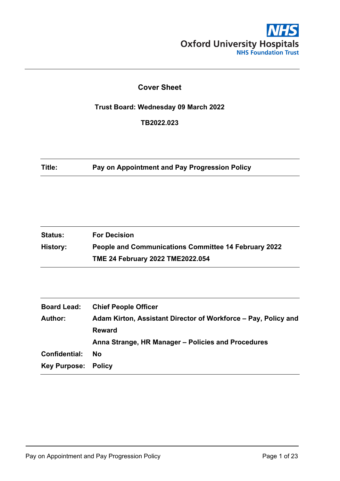

### **Cover Sheet**

**Trust Board: Wednesday 09 March 2022**

**TB2022.023**

**Title: Pay on Appointment and Pay Progression Policy**

| <b>Status:</b> | <b>For Decision</b>                                         |
|----------------|-------------------------------------------------------------|
| History:       | <b>People and Communications Committee 14 February 2022</b> |
|                | TME 24 February 2022 TME2022.054                            |

| <b>Chief People Officer</b>                                    |
|----------------------------------------------------------------|
| Adam Kirton, Assistant Director of Workforce – Pay, Policy and |
| <b>Reward</b>                                                  |
| Anna Strange, HR Manager – Policies and Procedures             |
| <b>No</b>                                                      |
| <b>Key Purpose: Policy</b>                                     |
|                                                                |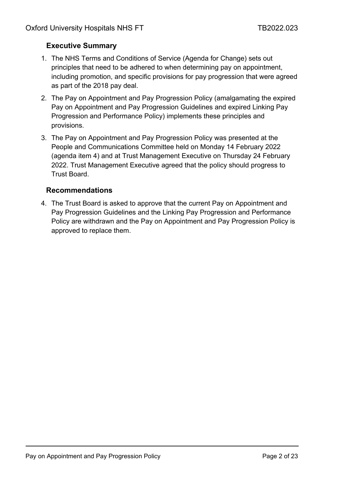# **Executive Summary**

- 1. The NHS Terms and Conditions of Service (Agenda for Change) sets out principles that need to be adhered to when determining pay on appointment, including promotion, and specific provisions for pay progression that were agreed as part of the 2018 pay deal.
- 2. The Pay on Appointment and Pay Progression Policy (amalgamating the expired Pay on Appointment and Pay Progression Guidelines and expired Linking Pay Progression and Performance Policy) implements these principles and provisions.
- 3. The Pay on Appointment and Pay Progression Policy was presented at the People and Communications Committee held on Monday 14 February 2022 (agenda item 4) and at Trust Management Executive on Thursday 24 February 2022. Trust Management Executive agreed that the policy should progress to Trust Board.

### **Recommendations**

4. The Trust Board is asked to approve that the current Pay on Appointment and Pay Progression Guidelines and the Linking Pay Progression and Performance Policy are withdrawn and the Pay on Appointment and Pay Progression Policy is approved to replace them.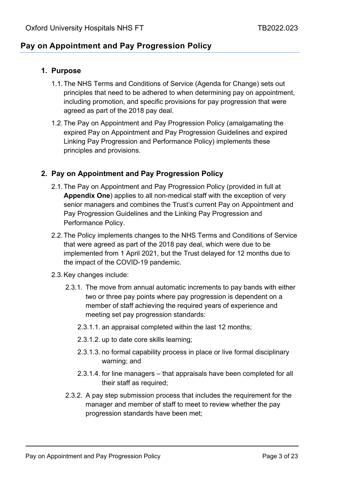# **Pay on Appointment and Pay Progression Policy**

### **1. Purpose**

- 1.1.The NHS Terms and Conditions of Service (Agenda for Change) sets out principles that need to be adhered to when determining pay on appointment, including promotion, and specific provisions for pay progression that were agreed as part of the 2018 pay deal.
- 1.2.The Pay on Appointment and Pay Progression Policy (amalgamating the expired Pay on Appointment and Pay Progression Guidelines and expired Linking Pay Progression and Performance Policy) implements these principles and provisions.

### **2. Pay on Appointment and Pay Progression Policy**

- 2.1.The Pay on Appointment and Pay Progression Policy (provided in full at **Appendix One**) applies to all non-medical staff with the exception of very senior managers and combines the Trust's current Pay on Appointment and Pay Progression Guidelines and the Linking Pay Progression and Performance Policy.
- 2.2.The Policy implements changes to the NHS Terms and Conditions of Service that were agreed as part of the 2018 pay deal, which were due to be implemented from 1 April 2021, but the Trust delayed for 12 months due to the impact of the COVID-19 pandemic.
- 2.3.Key changes include:
	- 2.3.1. The move from annual automatic increments to pay bands with either two or three pay points where pay progression is dependent on a member of staff achieving the required years of experience and meeting set pay progression standards:
		- 2.3.1.1. an appraisal completed within the last 12 months;
		- 2.3.1.2. up to date core skills learning;
		- 2.3.1.3. no formal capability process in place or live formal disciplinary warning; and
		- 2.3.1.4. for line managers that appraisals have been completed for all their staff as required;
	- 2.3.2. A pay step submission process that includes the requirement for the manager and member of staff to meet to review whether the pay progression standards have been met;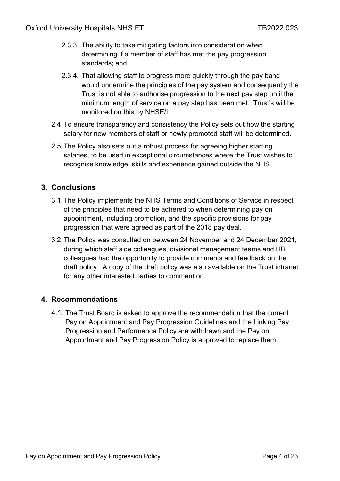- 2.3.3. The ability to take mitigating factors into consideration when determining if a member of staff has met the pay progression standards; and
- 2.3.4. That allowing staff to progress more quickly through the pay band would undermine the principles of the pay system and consequently the Trust is not able to authorise progression to the next pay step until the minimum length of service on a pay step has been met. Trust's will be monitored on this by NHSE/I.
- 2.4.To ensure transparency and consistency the Policy sets out how the starting salary for new members of staff or newly promoted staff will be determined.
- 2.5.The Policy also sets out a robust process for agreeing higher starting salaries, to be used in exceptional circumstances where the Trust wishes to recognise knowledge, skills and experience gained outside the NHS.

### **3. Conclusions**

- 3.1.The Policy implements the NHS Terms and Conditions of Service in respect of the principles that need to be adhered to when determining pay on appointment, including promotion, and the specific provisions for pay progression that were agreed as part of the 2018 pay deal.
- 3.2.The Policy was consulted on between 24 November and 24 December 2021, during which staff side colleagues, divisional management teams and HR colleagues had the opportunity to provide comments and feedback on the draft policy. A copy of the draft policy was also available on the Trust intranet for any other interested parties to comment on.

### **4. Recommendations**

4.1. The Trust Board is asked to approve the recommendation that the current Pay on Appointment and Pay Progression Guidelines and the Linking Pay Progression and Performance Policy are withdrawn and the Pay on Appointment and Pay Progression Policy is approved to replace them.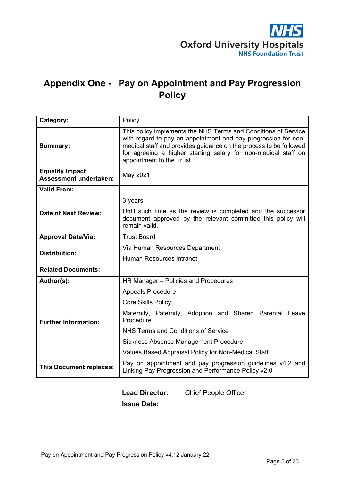# **Appendix One - Pay on Appointment and Pay Progression Policy**

| Category:                                               | Policy                                                                                                                                                                                                                                                                                               |  |  |  |  |  |  |  |
|---------------------------------------------------------|------------------------------------------------------------------------------------------------------------------------------------------------------------------------------------------------------------------------------------------------------------------------------------------------------|--|--|--|--|--|--|--|
| Summary:                                                | This policy implements the NHS Terms and Conditions of Service<br>with regard to pay on appointment and pay progression for non-<br>medical staff and provides guidance on the process to be followed<br>for agreeing a higher starting salary for non-medical staff on<br>appointment to the Trust. |  |  |  |  |  |  |  |
| <b>Equality Impact</b><br><b>Assessment undertaken:</b> | May 2021                                                                                                                                                                                                                                                                                             |  |  |  |  |  |  |  |
| <b>Valid From:</b>                                      |                                                                                                                                                                                                                                                                                                      |  |  |  |  |  |  |  |
|                                                         | 3 years                                                                                                                                                                                                                                                                                              |  |  |  |  |  |  |  |
| <b>Date of Next Review:</b>                             | Until such time as the review is completed and the successor<br>document approved by the relevant committee this policy will<br>remain valid.                                                                                                                                                        |  |  |  |  |  |  |  |
| <b>Approval Date/Via:</b>                               | <b>Trust Board</b>                                                                                                                                                                                                                                                                                   |  |  |  |  |  |  |  |
| <b>Distribution:</b>                                    | Via Human Resources Department                                                                                                                                                                                                                                                                       |  |  |  |  |  |  |  |
|                                                         | Human Resources intranet                                                                                                                                                                                                                                                                             |  |  |  |  |  |  |  |
| <b>Related Documents:</b>                               |                                                                                                                                                                                                                                                                                                      |  |  |  |  |  |  |  |
| Author(s):                                              | HR Manager - Policies and Procedures                                                                                                                                                                                                                                                                 |  |  |  |  |  |  |  |
|                                                         | <b>Appeals Procedure</b>                                                                                                                                                                                                                                                                             |  |  |  |  |  |  |  |
|                                                         | <b>Core Skills Policy</b>                                                                                                                                                                                                                                                                            |  |  |  |  |  |  |  |
| <b>Further Information:</b>                             | Maternity, Paternity, Adoption and Shared Parental Leave<br>Procedure                                                                                                                                                                                                                                |  |  |  |  |  |  |  |
|                                                         | NHS Terms and Conditions of Service                                                                                                                                                                                                                                                                  |  |  |  |  |  |  |  |
|                                                         | Sickness Absence Management Procedure                                                                                                                                                                                                                                                                |  |  |  |  |  |  |  |
|                                                         | Values Based Appraisal Policy for Non-Medical Staff                                                                                                                                                                                                                                                  |  |  |  |  |  |  |  |
| <b>This Document replaces:</b>                          | Pay on appointment and pay progression guidelines v4.2 and<br>Linking Pay Progression and Performance Policy v2.0                                                                                                                                                                                    |  |  |  |  |  |  |  |

# **Lead Director:** Chief People Officer **Issue Date:**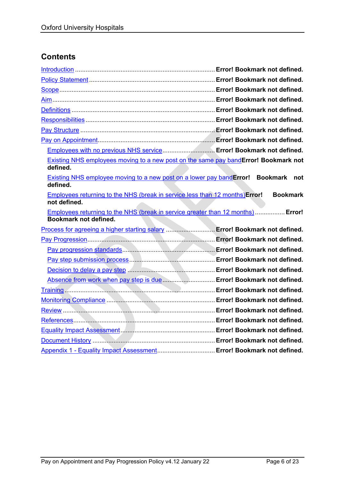# **Contents**

| Employees with no previous NHS service Error! Bookmark not defined.                                       |  |                 |     |
|-----------------------------------------------------------------------------------------------------------|--|-----------------|-----|
| Existing NHS employees moving to a new post on the same pay bandError! Bookmark not<br>defined.           |  |                 |     |
| <b>Existing NHS employee moving to a new post on a lower pay bandError! Bookmark</b><br>defined.          |  |                 | not |
| <b>Employees returning to the NHS (break in service less than 12 months) Error!</b><br>not defined.       |  | <b>Bookmark</b> |     |
| Employees returning to the NHS (break in service greater than 12 months)  Error!<br>Bookmark not defined. |  |                 |     |
| Process for agreeing a higher starting salary  Error! Bookmark not defined.                               |  |                 |     |
|                                                                                                           |  |                 |     |
|                                                                                                           |  |                 |     |
|                                                                                                           |  |                 |     |
|                                                                                                           |  |                 |     |
| Absence from work when pay step is due  Error! Bookmark not defined.                                      |  |                 |     |
|                                                                                                           |  |                 |     |
|                                                                                                           |  |                 |     |
|                                                                                                           |  |                 |     |
|                                                                                                           |  |                 |     |
|                                                                                                           |  |                 |     |
|                                                                                                           |  |                 |     |
| Appendix 1 - Equality Impact Assessment Error! Bookmark not defined.                                      |  |                 |     |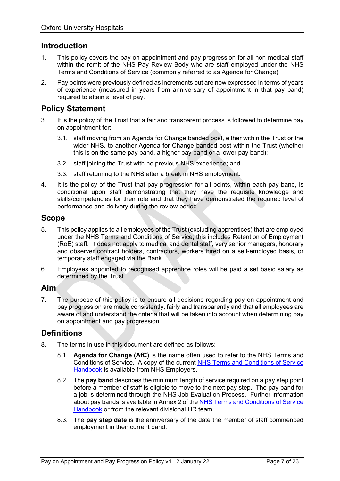### **Introduction**

- 1. This policy covers the pay on appointment and pay progression for all non-medical staff within the remit of the NHS Pay Review Body who are staff employed under the NHS Terms and Conditions of Service (commonly referred to as Agenda for Change).
- 2. Pay points were previously defined as increments but are now expressed in terms of years of experience (measured in years from anniversary of appointment in that pay band) required to attain a level of pay.

### **Policy Statement**

- 3. It is the policy of the Trust that a fair and transparent process is followed to determine pay on appointment for:
	- 3.1. staff moving from an Agenda for Change banded post, either within the Trust or the wider NHS, to another Agenda for Change banded post within the Trust (whether this is on the same pay band, a higher pay band or a lower pay band);
	- 3.2. staff joining the Trust with no previous NHS experience; and
	- 3.3. staff returning to the NHS after a break in NHS employment.
- 4. It is the policy of the Trust that pay progression for all points, within each pay band, is conditional upon staff demonstrating that they have the requisite knowledge and skills/competencies for their role and that they have demonstrated the required level of performance and delivery during the review period.

### **Scope**

- 5. This policy applies to all employees of the Trust (excluding apprentices) that are employed under the NHS Terms and Conditions of Service; this includes Retention of Employment (RoE) staff. It does not apply to medical and dental staff, very senior managers, honorary and observer contract holders, contractors, workers hired on a self-employed basis, or temporary staff engaged via the Bank.
- 6. Employees appointed to recognised apprentice roles will be paid a set basic salary as determined by the Trust.

### **Aim**

7. The purpose of this policy is to ensure all decisions regarding pay on appointment and pay progression are made consistently, fairly and transparently and that all employees are aware of and understand the criteria that will be taken into account when determining pay on appointment and pay progression.

### **Definitions**

- 8. The terms in use in this document are defined as follows:
	- 8.1. **Agenda for Change (AfC)** is the name often used to refer to the NHS Terms and Conditions of Service. A copy of the current [NHS Terms and Conditions of Service](https://www.nhsemployers.org/tchandbook)  [Handbook](https://www.nhsemployers.org/tchandbook) is available from NHS Employers.
	- 8.2. The **pay band** describes the minimum length of service required on a pay step point before a member of staff is eligible to move to the next pay step. The pay band for a job is determined through the NHS Job Evaluation Process. Further information about pay bands is available in Annex 2 of the [NHS Terms and Conditions of Service](https://www.nhsemployers.org/publications/tchandbook)  [Handbook](https://www.nhsemployers.org/publications/tchandbook) or from the relevant divisional HR team.
	- 8.3. The **pay step date** is the anniversary of the date the member of staff commenced employment in their current band.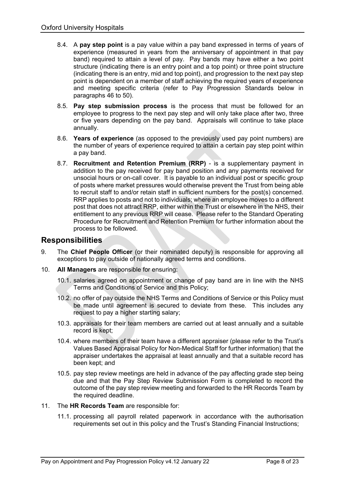- 8.4. A **pay step point** is a pay value within a pay band expressed in terms of years of experience (measured in years from the anniversary of appointment in that pay band) required to attain a level of pay. Pay bands may have either a two point structure (indicating there is an entry point and a top point) or three point structure (indicating there is an entry, mid and top point), and progression to the next pay step point is dependent on a member of staff achieving the required years of experience and meeting specific criteria (refer to Pay Progression Standards below in paragraphs 46 to 50).
- 8.5. **Pay step submission process** is the process that must be followed for an employee to progress to the next pay step and will only take place after two, three or five years depending on the pay band. Appraisals will continue to take place annually.
- 8.6. **Years of experience** (as opposed to the previously used pay point numbers) are the number of years of experience required to attain a certain pay step point within a pay band.
- 8.7. **Recruitment and Retention Premium (RRP)** is a supplementary payment in addition to the pay received for pay band position and any payments received for unsocial hours or on-call cover. It is payable to an individual post or specific group of posts where market pressures would otherwise prevent the Trust from being able to recruit staff to and/or retain staff in sufficient numbers for the post(s) concerned. RRP applies to posts and not to individuals; where an employee moves to a different post that does not attract RRP, either within the Trust or elsewhere in the NHS, their entitlement to any previous RRP will cease. Please refer to the Standard Operating Procedure for Recruitment and Retention Premium for further information about the process to be followed.

### **Responsibilities**

- 9. The **Chief People Officer** (or their nominated deputy) is responsible for approving all exceptions to pay outside of nationally agreed terms and conditions.
- 10. **All Managers** are responsible for ensuring:
	- 10.1. salaries agreed on appointment or change of pay band are in line with the NHS Terms and Conditions of Service and this Policy;
	- 10.2. no offer of pay outside the NHS Terms and Conditions of Service or this Policy must be made until agreement is secured to deviate from these. This includes any request to pay a higher starting salary;
	- 10.3. appraisals for their team members are carried out at least annually and a suitable record is kept;
	- 10.4. where members of their team have a different appraiser (please refer to the Trust's Values Based Appraisal Policy for Non-Medical Staff for further information) that the appraiser undertakes the appraisal at least annually and that a suitable record has been kept; and
	- 10.5. pay step review meetings are held in advance of the pay affecting grade step being due and that the Pay Step Review Submission Form is completed to record the outcome of the pay step review meeting and forwarded to the HR Records Team by the required deadline.
- 11. The **HR Records Team** are responsible for:
	- 11.1. processing all payroll related paperwork in accordance with the authorisation requirements set out in this policy and the Trust's Standing Financial Instructions;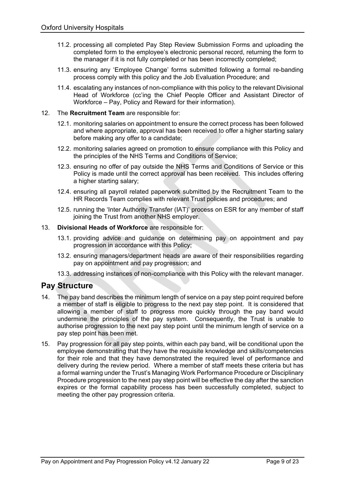- 11.2. processing all completed Pay Step Review Submission Forms and uploading the completed form to the employee's electronic personal record, returning the form to the manager if it is not fully completed or has been incorrectly completed;
- 11.3. ensuring any 'Employee Change' forms submitted following a formal re-banding process comply with this policy and the Job Evaluation Procedure; and
- 11.4. escalating any instances of non-compliance with this policy to the relevant Divisional Head of Workforce (cc'ing the Chief People Officer and Assistant Director of Workforce – Pay, Policy and Reward for their information).

#### 12. The **Recruitment Team** are responsible for:

- 12.1. monitoring salaries on appointment to ensure the correct process has been followed and where appropriate, approval has been received to offer a higher starting salary before making any offer to a candidate;
- 12.2. monitoring salaries agreed on promotion to ensure compliance with this Policy and the principles of the NHS Terms and Conditions of Service;
- 12.3. ensuring no offer of pay outside the NHS Terms and Conditions of Service or this Policy is made until the correct approval has been received. This includes offering a higher starting salary;
- 12.4. ensuring all payroll related paperwork submitted by the Recruitment Team to the HR Records Team complies with relevant Trust policies and procedures; and
- 12.5. running the 'Inter Authority Transfer (IAT)' process on ESR for any member of staff joining the Trust from another NHS employer.

#### 13. **Divisional Heads of Workforce** are responsible for:

- 13.1. providing advice and guidance on determining pay on appointment and pay progression in accordance with this Policy;
- 13.2. ensuring managers/department heads are aware of their responsibilities regarding pay on appointment and pay progression; and
- 13.3. addressing instances of non-compliance with this Policy with the relevant manager.

### **Pay Structure**

- 14. The pay band describes the minimum length of service on a pay step point required before a member of staff is eligible to progress to the next pay step point. It is considered that allowing a member of staff to progress more quickly through the pay band would undermine the principles of the pay system. Consequently, the Trust is unable to authorise progression to the next pay step point until the minimum length of service on a pay step point has been met.
- 15. Pay progression for all pay step points, within each pay band, will be conditional upon the employee demonstrating that they have the requisite knowledge and skills/competencies for their role and that they have demonstrated the required level of performance and delivery during the review period. Where a member of staff meets these criteria but has a formal warning under the Trust's Managing Work Performance Procedure or Disciplinary Procedure progression to the next pay step point will be effective the day after the sanction expires or the formal capability process has been successfully completed, subject to meeting the other pay progression criteria.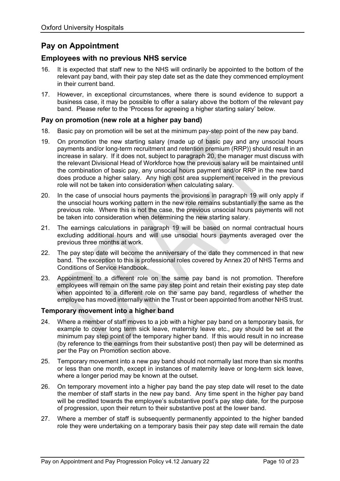# **Pay on Appointment**

### **Employees with no previous NHS service**

- 16. It is expected that staff new to the NHS will ordinarily be appointed to the bottom of the relevant pay band, with their pay step date set as the date they commenced employment in their current band.
- 17. However, in exceptional circumstances, where there is sound evidence to support a business case, it may be possible to offer a salary above the bottom of the relevant pay band. Please refer to the 'Process for agreeing a higher starting salary' below.

#### **Pay on promotion (new role at a higher pay band)**

- 18. Basic pay on promotion will be set at the minimum pay-step point of the new pay band.
- 19. On promotion the new starting salary (made up of basic pay and any unsocial hours payments and/or long-term recruitment and retention premium (RRP)) should result in an increase in salary. If it does not, subject to paragraph 20, the manager must discuss with the relevant Divisional Head of Workforce how the previous salary will be maintained until the combination of basic pay, any unsocial hours payment and/or RRP in the new band does produce a higher salary. Any high cost area supplement received in the previous role will not be taken into consideration when calculating salary.
- 20. In the case of unsocial hours payments the provisions in paragraph 19 will only apply if the unsocial hours working pattern in the new role remains substantially the same as the previous role. Where this is not the case, the previous unsocial hours payments will not be taken into consideration when determining the new starting salary.
- 21. The earnings calculations in paragraph 19 will be based on normal contractual hours excluding additional hours and will use unsocial hours payments averaged over the previous three months at work.
- 22. The pay step date will become the anniversary of the date they commenced in that new band. The exception to this is professional roles covered by Annex 20 of NHS Terms and Conditions of Service Handbook.
- 23. Appointment to a different role on the same pay band is not promotion. Therefore employees will remain on the same pay step point and retain their existing pay step date when appointed to a different role on the same pay band, regardless of whether the employee has moved internally within the Trust or been appointed from another NHS trust.

#### **Temporary movement into a higher band**

- 24. Where a member of staff moves to a job with a higher pay band on a temporary basis, for example to cover long term sick leave, maternity leave etc., pay should be set at the minimum pay step point of the temporary higher band. If this would result in no increase (by reference to the earnings from their substantive post) then pay will be determined as per the Pay on Promotion section above.
- 25. Temporary movement into a new pay band should not normally last more than six months or less than one month, except in instances of maternity leave or long-term sick leave, where a longer period may be known at the outset.
- 26. On temporary movement into a higher pay band the pay step date will reset to the date the member of staff starts in the new pay band. Any time spent in the higher pay band will be credited towards the employee's substantive post's pay step date, for the purpose of progression, upon their return to their substantive post at the lower band.
- 27. Where a member of staff is subsequently permanently appointed to the higher banded role they were undertaking on a temporary basis their pay step date will remain the date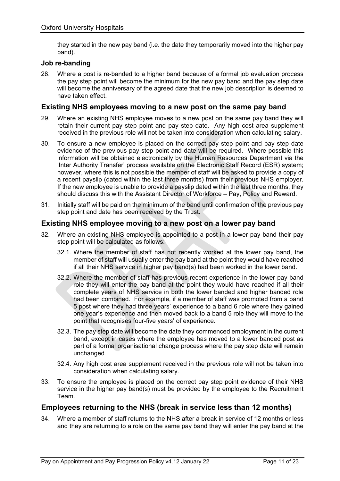they started in the new pay band (i.e. the date they temporarily moved into the higher pay band).

#### **Job re-banding**

28. Where a post is re-banded to a higher band because of a formal job evaluation process the pay step point will become the minimum for the new pay band and the pay step date will become the anniversary of the agreed date that the new job description is deemed to have taken effect.

#### **Existing NHS employees moving to a new post on the same pay band**

- 29. Where an existing NHS employee moves to a new post on the same pay band they will retain their current pay step point and pay step date. Any high cost area supplement received in the previous role will not be taken into consideration when calculating salary.
- 30. To ensure a new employee is placed on the correct pay step point and pay step date evidence of the previous pay step point and date will be required. Where possible this information will be obtained electronically by the Human Resources Department via the 'Inter Authority Transfer' process available on the Electronic Staff Record (ESR) system; however, where this is not possible the member of staff will be asked to provide a copy of a recent payslip (dated within the last three months) from their previous NHS employer. If the new employee is unable to provide a payslip dated within the last three months, they should discuss this with the Assistant Director of Workforce – Pay, Policy and Reward.
- 31. Initially staff will be paid on the minimum of the band until confirmation of the previous pay step point and date has been received by the Trust.

#### **Existing NHS employee moving to a new post on a lower pay band**

- 32. Where an existing NHS employee is appointed to a post in a lower pay band their pay step point will be calculated as follows:
	- 32.1. Where the member of staff has not recently worked at the lower pay band, the member of staff will usually enter the pay band at the point they would have reached if all their NHS service in higher pay band(s) had been worked in the lower band.
	- 32.2. Where the member of staff has previous recent experience in the lower pay band role they will enter the pay band at the point they would have reached if all their complete years of NHS service in both the lower banded and higher banded role had been combined. For example, if a member of staff was promoted from a band 5 post where they had three years' experience to a band 6 role where they gained one year's experience and then moved back to a band 5 role they will move to the point that recognises four-five years' of experience.
	- 32.3. The pay step date will become the date they commenced employment in the current band, except in cases where the employee has moved to a lower banded post as part of a formal organisational change process where the pay step date will remain unchanged.
	- 32.4. Any high cost area supplement received in the previous role will not be taken into consideration when calculating salary.
- 33. To ensure the employee is placed on the correct pay step point evidence of their NHS service in the higher pay band(s) must be provided by the employee to the Recruitment Team.

#### **Employees returning to the NHS (break in service less than 12 months)**

34. Where a member of staff returns to the NHS after a break in service of 12 months or less and they are returning to a role on the same pay band they will enter the pay band at the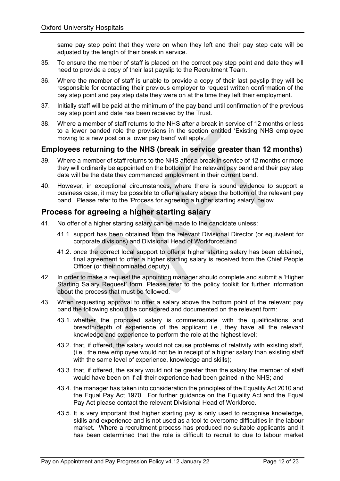same pay step point that they were on when they left and their pay step date will be adjusted by the length of their break in service.

- 35. To ensure the member of staff is placed on the correct pay step point and date they will need to provide a copy of their last payslip to the Recruitment Team.
- 36. Where the member of staff is unable to provide a copy of their last payslip they will be responsible for contacting their previous employer to request written confirmation of the pay step point and pay step date they were on at the time they left their employment.
- 37. Initially staff will be paid at the minimum of the pay band until confirmation of the previous pay step point and date has been received by the Trust.
- 38. Where a member of staff returns to the NHS after a break in service of 12 months or less to a lower banded role the provisions in the section entitled 'Existing NHS employee moving to a new post on a lower pay band' will apply.

### **Employees returning to the NHS (break in service greater than 12 months)**

- 39. Where a member of staff returns to the NHS after a break in service of 12 months or more they will ordinarily be appointed on the bottom of the relevant pay band and their pay step date will be the date they commenced employment in their current band.
- 40. However, in exceptional circumstances, where there is sound evidence to support a business case, it may be possible to offer a salary above the bottom of the relevant pay band. Please refer to the 'Process for agreeing a higher starting salary' below.

### **Process for agreeing a higher starting salary**

- 41. No offer of a higher starting salary can be made to the candidate unless:
	- 41.1. support has been obtained from the relevant Divisional Director (or equivalent for corporate divisions) and Divisional Head of Workforce; and
	- 41.2. once the correct local support to offer a higher starting salary has been obtained, final agreement to offer a higher starting salary is received from the Chief People Officer (or their nominated deputy).
- 42. In order to make a request the appointing manager should complete and submit a 'Higher Starting Salary Request' form. Please refer to the policy toolkit for further information about the process that must be followed.
- 43. When requesting approval to offer a salary above the bottom point of the relevant pay band the following should be considered and documented on the relevant form:
	- 43.1. whether the proposed salary is commensurate with the qualifications and breadth/depth of experience of the applicant i.e., they have all the relevant knowledge and experience to perform the role at the highest level;
	- 43.2. that, if offered, the salary would not cause problems of relativity with existing staff, (i.e., the new employee would not be in receipt of a higher salary than existing staff with the same level of experience, knowledge and skills);
	- 43.3. that, if offered, the salary would not be greater than the salary the member of staff would have been on if all their experience had been gained in the NHS; and
	- 43.4. the manager has taken into consideration the principles of the Equality Act 2010 and the Equal Pay Act 1970. For further guidance on the Equality Act and the Equal Pay Act please contact the relevant Divisional Head of Workforce.
	- 43.5. It is very important that higher starting pay is only used to recognise knowledge, skills and experience and is not used as a tool to overcome difficulties in the labour market. Where a recruitment process has produced no suitable applicants and it has been determined that the role is difficult to recruit to due to labour market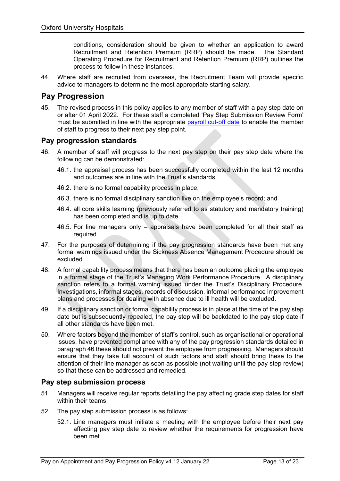conditions, consideration should be given to whether an application to award Recruitment and Retention Premium (RRP) should be made. The Standard Operating Procedure for Recruitment and Retention Premium (RRP) outlines the process to follow in these instances.

44. Where staff are recruited from overseas, the Recruitment Team will provide specific advice to managers to determine the most appropriate starting salary.

### **Pay Progression**

45. The revised process in this policy applies to any member of staff with a pay step date on or after 01 April 2022. For these staff a completed 'Pay Step Submission Review Form' must be submitted in line with the appropriate [payroll cut-off date](http://ouh.oxnet.nhs.uk/HumanResources/Pages/PayrollInformation.aspx) to enable the member of staff to progress to their next pay step point.

#### **Pay progression standards**

- 46. A member of staff will progress to the next pay step on their pay step date where the following can be demonstrated:
	- 46.1. the appraisal process has been successfully completed within the last 12 months and outcomes are in line with the Trust's standards;
	- 46.2. there is no formal capability process in place;
	- 46.3. there is no formal disciplinary sanction live on the employee's record; and
	- 46.4. all core skills learning (previously referred to as statutory and mandatory training) has been completed and is up to date.
	- 46.5. For line managers only appraisals have been completed for all their staff as required.
- 47. For the purposes of determining if the pay progression standards have been met any formal warnings issued under the Sickness Absence Management Procedure should be excluded.
- 48. A formal capability process means that there has been an outcome placing the employee in a formal stage of the Trust's Managing Work Performance Procedure. A disciplinary sanction refers to a formal warning issued under the Trust's Disciplinary Procedure. Investigations, informal stages, records of discussion, informal performance improvement plans and processes for dealing with absence due to ill health will be excluded.
- 49. If a disciplinary sanction or formal capability process is in place at the time of the pay step date but is subsequently repealed, the pay step will be backdated to the pay step date if all other standards have been met.
- 50. Where factors beyond the member of staff's control, such as organisational or operational issues, have prevented compliance with any of the pay progression standards detailed in paragraph 46 these should not prevent the employee from progressing. Managers should ensure that they take full account of such factors and staff should bring these to the attention of their line manager as soon as possible (not waiting until the pay step review) so that these can be addressed and remedied.

#### **Pay step submission process**

- 51. Managers will receive regular reports detailing the pay affecting grade step dates for staff within their teams.
- 52. The pay step submission process is as follows:
	- 52.1. Line managers must initiate a meeting with the employee before their next pay affecting pay step date to review whether the requirements for progression have been met.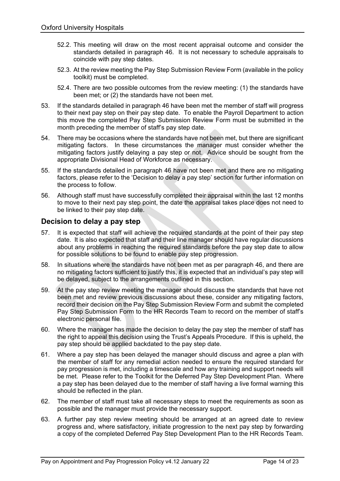- 52.2. This meeting will draw on the most recent appraisal outcome and consider the standards detailed in paragraph 46. It is not necessary to schedule appraisals to coincide with pay step dates.
- 52.3. At the review meeting the Pay Step Submission Review Form (available in the policy toolkit) must be completed.
- 52.4. There are two possible outcomes from the review meeting: (1) the standards have been met; or (2) the standards have not been met.
- 53. If the standards detailed in paragraph 46 have been met the member of staff will progress to their next pay step on their pay step date. To enable the Payroll Department to action this move the completed Pay Step Submission Review Form must be submitted in the month preceding the member of staff's pay step date.
- 54. There may be occasions where the standards have not been met, but there are significant mitigating factors. In these circumstances the manager must consider whether the mitigating factors justify delaying a pay step or not. Advice should be sought from the appropriate Divisional Head of Workforce as necessary.
- 55. If the standards detailed in paragraph 46 have not been met and there are no mitigating factors, please refer to the 'Decision to delay a pay step' section for further information on the process to follow.
- 56. Although staff must have successfully completed their appraisal within the last 12 months to move to their next pay step point, the date the appraisal takes place does not need to be linked to their pay step date.

### **Decision to delay a pay step**

- 57. It is expected that staff will achieve the required standards at the point of their pay step date. It is also expected that staff and their line manager should have regular discussions about any problems in reaching the required standards before the pay step date to allow for possible solutions to be found to enable pay step progression.
- 58. In situations where the standards have not been met as per paragraph 46, and there are no mitigating factors sufficient to justify this, it is expected that an individual's pay step will be delayed, subject to the arrangements outlined in this section.
- 59. At the pay step review meeting the manager should discuss the standards that have not been met and review previous discussions about these, consider any mitigating factors, record their decision on the Pay Step Submission Review Form and submit the completed Pay Step Submission Form to the HR Records Team to record on the member of staff's electronic personal file.
- 60. Where the manager has made the decision to delay the pay step the member of staff has the right to appeal this decision using the Trust's Appeals Procedure. If this is upheld, the pay step should be applied backdated to the pay step date.
- 61. Where a pay step has been delayed the manager should discuss and agree a plan with the member of staff for any remedial action needed to ensure the required standard for pay progression is met, including a timescale and how any training and support needs will be met. Please refer to the Toolkit for the Deferred Pay Step Development Plan. Where a pay step has been delayed due to the member of staff having a live formal warning this should be reflected in the plan.
- 62. The member of staff must take all necessary steps to meet the requirements as soon as possible and the manager must provide the necessary support.
- 63. A further pay step review meeting should be arranged at an agreed date to review progress and, where satisfactory, initiate progression to the next pay step by forwarding a copy of the completed Deferred Pay Step Development Plan to the HR Records Team.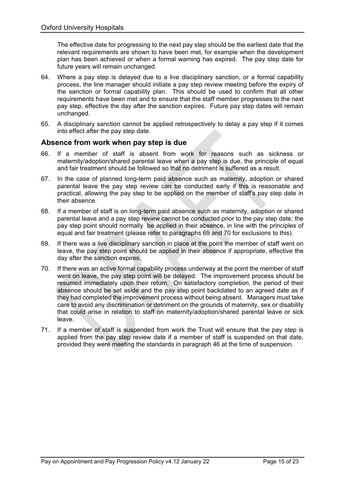The effective date for progressing to the next pay step should be the earliest date that the relevant requirements are shown to have been met, for example when the development plan has been achieved or when a formal warning has expired. The pay step date for future years will remain unchanged.

- 64. Where a pay step is delayed due to a live disciplinary sanction, or a formal capability process, the line manager should initiate a pay step review meeting before the expiry of the sanction or formal capability plan. This should be used to confirm that all other requirements have been met and to ensure that the staff member progresses to the next pay step, effective the day after the sanction expires. Future pay step dates will remain unchanged.
- 65. A disciplinary sanction cannot be applied retrospectively to delay a pay step if it comes into effect after the pay step date.

### **Absence from work when pay step is due**

- 66. If a member of staff is absent from work for reasons such as sickness or maternity/adoption/shared parental leave when a pay step is due, the principle of equal and fair treatment should be followed so that no detriment is suffered as a result.
- 67. In the case of planned long-term paid absence such as maternity, adoption or shared parental leave the pay step review can be conducted early if this is reasonable and practical, allowing the pay step to be applied on the member of staff's pay step date in their absence.
- 68. If a member of staff is on long-term paid absence such as maternity, adoption or shared parental leave and a pay step review cannot be conducted prior to the pay step date; the pay step point should normally be applied in their absence, in line with the principles of equal and fair treatment (please refer to paragraphs 69 and [70](#page-14-0) for exclusions to this).
- 69. If there was a live disciplinary sanction in place at the point the member of staff went on leave, the pay step point should be applied in their absence if appropriate, effective the day after the sanction expires.
- <span id="page-14-0"></span>70. If there was an active formal capability process underway at the point the member of staff went on leave, the pay step point will be delayed. The improvement process should be resumed immediately upon their return. On satisfactory completion, the period of their absence should be set aside and the pay step point backdated to an agreed date as if they had completed the improvement process without being absent. Managers must take care to avoid any discrimination or detriment on the grounds of maternity, sex or disability that could arise in relation to staff on maternity/adoption/shared parental leave or sick leave.
- 71. If a member of staff is suspended from work the Trust will ensure that the pay step is applied from the pay step review date if a member of staff is suspended on that date, provided they were meeting the standards in paragraph 46 at the time of suspension.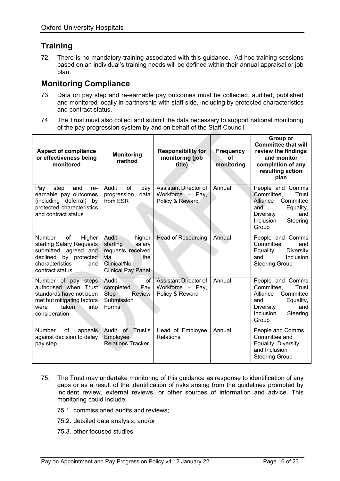# **Training**

72. There is no mandatory training associated with this guidance. Ad hoc training sessions based on an individual's training needs will be defined within their annual appraisal or job plan.

## **Monitoring Compliance**

- 73. Data on pay step and re-earnable pay outcomes must be collected, audited, published and monitored locally in partnership with staff side, including by protected characteristics and contract status.
- 74. The Trust must also collect and submit the data necessary to support national monitoring of the pay progression system by and on behalf of the Staff Council.

| <b>Aspect of compliance</b><br>or effectiveness being<br>monitored                                                                                       | <b>Monitoring</b><br>method                                                                                            | <b>Responsibility for</b><br>monitoring (job<br>title)              | Frequency<br>οf<br>monitoring | Group or<br><b>Committee that will</b><br>review the findings<br>and monitor<br>completion of any<br>resulting action<br>plan                     |
|----------------------------------------------------------------------------------------------------------------------------------------------------------|------------------------------------------------------------------------------------------------------------------------|---------------------------------------------------------------------|-------------------------------|---------------------------------------------------------------------------------------------------------------------------------------------------|
| step<br>and<br>Pay<br>re-<br>earnable pay outcomes<br>(including deferral)<br>bv<br>protected characteristics<br>and contract status                     | Audit<br>of<br>pay<br>progression<br>data<br>from ESR                                                                  | Assistant Director of<br>Workforce - Pay,<br>Policy & Reward        | Annual                        | People and Comms<br>Committee,<br>Trust<br>Alliance<br>Committee<br>and<br>Equality,<br>Diversity<br>and<br><b>Inclusion</b><br>Steering<br>Group |
| of<br>Higher<br><b>Number</b><br>starting Salary Requests<br>submitted, agreed and<br>declined by protected<br>characteristics<br>and<br>contract status | Audit<br>higher<br>starting<br>salary<br>requests received<br>via<br>the<br>Clinical/Non-<br><b>Clinical Pay Panel</b> | <b>Head of Resourcing</b>                                           | Annual                        | People and Comms<br>Committee<br>and<br>Equality,<br>Diversity<br>Inclusion<br>and<br><b>Steering Group</b>                                       |
| Number of pay steps<br>authorised when Trust<br>standards have not been<br>met but mitigating factors<br>taken<br>into<br>were<br>consideration          | Audit<br><sub>of</sub><br>completed<br>Pay<br><b>Step</b><br><b>Review</b><br>Submission<br><b>Forms</b>               | <b>Assistant Director of</b><br>Workforce - Pay,<br>Policy & Reward | Annual                        | People and Comms<br>Committee,<br>Trust<br>Committee<br>Alliance<br>Equality,<br>and<br>Diversity<br>and<br><b>Inclusion</b><br>Steering<br>Group |
| <b>Number</b><br>οf<br>appeals<br>against decision to delay<br>pay step                                                                                  | Trust's<br>Audit<br>οf<br>Employee<br><b>Relations Tracker</b>                                                         | Head of Employee<br><b>Relations</b>                                | Annual                        | People and Comms<br>Committee and<br>Equality, Diversity<br>and Inclusion<br><b>Steering Group</b>                                                |

- 75. The Trust may undertake monitoring of this guidance as response to identification of any gaps or as a result of the identification of risks arising from the guidelines prompted by incident review, external reviews, or other sources of information and advice. This monitoring could include:
	- 75.1. commissioned audits and reviews;
	- 75.2. detailed data analysis; and/or
	- 75.3. other focused studies.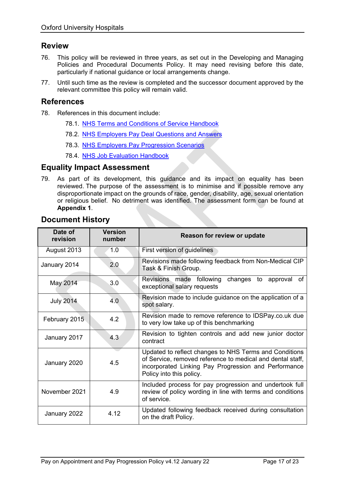### **Review**

- 76. This policy will be reviewed in three years, as set out in the Developing and Managing Policies and Procedural Documents Policy. It may need revising before this date, particularly if national guidance or local arrangements change.
- 77. Until such time as the review is completed and the successor document approved by the relevant committee this policy will remain valid.

#### **References**

- 78. References in this document include:
	- 78.1. [NHS Terms and Conditions of Service Handbook](https://www.nhsemployers.org/tchandbook)
	- 78.2. [NHS Employers Pay Deal Questions and Answers](https://www.nhsemployers.org/pay-pensions-and-reward/2018-contract-refresh/questions-and-answers#2)
	- 78.3. [NHS Employers Pay Progression Scenarios](https://www.nhsemployers.org/publications/pay-progression-scenarios)
	- 78.4. [NHS Job Evaluation Handbook](https://www.nhsemployers.org/pay-pensions-and-reward/job-evaluation/job-evaluation-handbook)

#### **Equality Impact Assessment**

79. As part of its development, this guidance and its impact on equality has been reviewed. The purpose of the assessment is to minimise and if possible remove any disproportionate impact on the grounds of race, gender, disability, age, sexual orientation or religious belief. No detriment was identified. The assessment form can be found at **Appendix 1**.

| Date of<br>revision | <b>Version</b><br>number | Reason for review or update                                                                                                                                                                              |  |  |  |  |  |
|---------------------|--------------------------|----------------------------------------------------------------------------------------------------------------------------------------------------------------------------------------------------------|--|--|--|--|--|
| August 2013         | 1.0                      | First version of guidelines                                                                                                                                                                              |  |  |  |  |  |
| January 2014        | 2.0                      | Revisions made following feedback from Non-Medical CIP<br>Task & Finish Group.                                                                                                                           |  |  |  |  |  |
| May 2014            | 3.0                      | changes to approval of<br>Revisions made following<br>exceptional salary requests                                                                                                                        |  |  |  |  |  |
| <b>July 2014</b>    | 4.0                      | Revision made to include guidance on the application of a<br>spot salary.                                                                                                                                |  |  |  |  |  |
| February 2015       | 4.2                      | Revision made to remove reference to IDSPay.co.uk due<br>to very low take up of this benchmarking                                                                                                        |  |  |  |  |  |
| January 2017        | 4.3                      | Revision to tighten controls and add new junior doctor<br>contract                                                                                                                                       |  |  |  |  |  |
| January 2020        | 4.5                      | Updated to reflect changes to NHS Terms and Conditions<br>of Service, removed reference to medical and dental staff,<br>incorporated Linking Pay Progression and Performance<br>Policy into this policy. |  |  |  |  |  |
| November 2021       | 4.9                      | Included process for pay progression and undertook full<br>review of policy wording in line with terms and conditions<br>of service.                                                                     |  |  |  |  |  |
| January 2022        | 4.12                     | Updated following feedback received during consultation<br>on the draft Policy.                                                                                                                          |  |  |  |  |  |

### **Document History**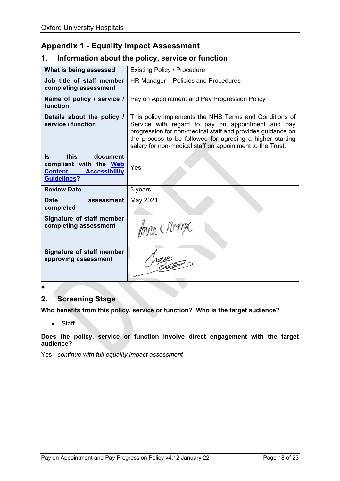### **Appendix 1 - Equality Impact Assessment**

### **1. Information about the policy, service or function**

| What is being assessed                                                                                            | <b>Existing Policy / Procedure</b>                                                                                                                                                                                                                                                                  |
|-------------------------------------------------------------------------------------------------------------------|-----------------------------------------------------------------------------------------------------------------------------------------------------------------------------------------------------------------------------------------------------------------------------------------------------|
| Job title of staff member<br>completing assessment                                                                | HR Manager - Policies and Procedures                                                                                                                                                                                                                                                                |
| Name of policy / service /<br>function:                                                                           | Pay on Appointment and Pay Progression Policy                                                                                                                                                                                                                                                       |
| Details about the policy /<br>service / function                                                                  | This policy implements the NHS Terms and Conditions of<br>Service with regard to pay on appointment and pay<br>progression for non-medical staff and provides guidance on<br>the process to be followed for agreeing a higher starting<br>salary for non-medical staff on appointment to the Trust. |
| this<br>ls.<br>document<br>compliant with the Web<br><b>Content</b><br><b>Accessibility</b><br><b>Guidelines?</b> | Yes                                                                                                                                                                                                                                                                                                 |
| <b>Review Date</b>                                                                                                | 3 years                                                                                                                                                                                                                                                                                             |
| <b>Date</b><br>assessment<br>completed                                                                            | May 2021                                                                                                                                                                                                                                                                                            |
| Signature of staff member<br>completing assessment                                                                | thou, CIbang                                                                                                                                                                                                                                                                                        |
| Signature of staff member<br>approving assessment                                                                 |                                                                                                                                                                                                                                                                                                     |
|                                                                                                                   |                                                                                                                                                                                                                                                                                                     |

### **2. Screening Stage**

**Who benefits from this policy, service or function? Who is the target audience?** 

#### • Staff

**Does the policy, service or function involve direct engagement with the target audience?**

Yes *- continue with full equality impact assessment*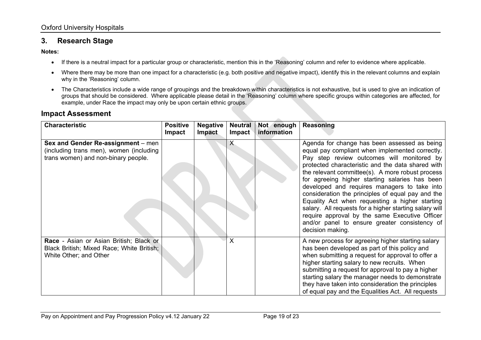### **3. Research Stage**

#### **Notes:**

- If there is a neutral impact for a particular group or characteristic, mention this in the 'Reasoning' column and refer to evidence where applicable.
- Where there may be more than one impact for a characteristic (e.g. both positive and negative impact), identify this in the relevant columns and explain why in the 'Reasoning' column.
- The Characteristics include a wide range of groupings and the breakdown within characteristics is not exhaustive, but is used to give an indication of groups that should be considered. Where applicable please detail in the 'Reasoning' column where specific groups within categories are affected, for example, under Race the impact may only be upon certain ethnic groups.

#### **Impact Assessment**

| <b>Characteristic</b>                                                                                                | <b>Positive</b><br><b>Impact</b> | <b>Negative</b><br><b>Impact</b> | <b>Neutral</b><br><b>Impact</b> | Not enough<br>information | <b>Reasoning</b>                                                                                                                                                                                                                                                                                                                                                                                                                                                                                                                                                                                                                                 |
|----------------------------------------------------------------------------------------------------------------------|----------------------------------|----------------------------------|---------------------------------|---------------------------|--------------------------------------------------------------------------------------------------------------------------------------------------------------------------------------------------------------------------------------------------------------------------------------------------------------------------------------------------------------------------------------------------------------------------------------------------------------------------------------------------------------------------------------------------------------------------------------------------------------------------------------------------|
| Sex and Gender Re-assignment - men<br>(including trans men), women (including<br>trans women) and non-binary people. |                                  |                                  | X                               |                           | Agenda for change has been assessed as being<br>equal pay compliant when implemented correctly.<br>Pay step review outcomes will monitored by<br>protected characteristic and the data shared with<br>the relevant committee(s). A more robust process<br>for agreeing higher starting salaries has been<br>developed and requires managers to take into<br>consideration the principles of equal pay and the<br>Equality Act when requesting a higher starting<br>salary. All requests for a higher starting salary will<br>require approval by the same Executive Officer<br>and/or panel to ensure greater consistency of<br>decision making. |
| Race - Asian or Asian British; Black or<br>Black British; Mixed Race; White British;<br>White Other; and Other       |                                  |                                  | X                               |                           | A new process for agreeing higher starting salary<br>has been developed as part of this policy and<br>when submitting a request for approval to offer a<br>higher starting salary to new recruits. When<br>submitting a request for approval to pay a higher<br>starting salary the manager needs to demonstrate<br>they have taken into consideration the principles<br>of equal pay and the Equalities Act. All requests                                                                                                                                                                                                                       |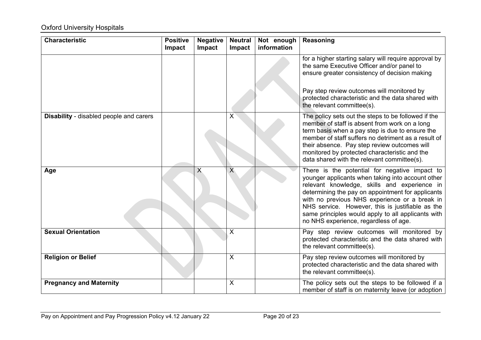# **Oxford University Hospitals**

| <b>Characteristic</b>                          | <b>Positive</b><br>Impact | <b>Negative</b><br>Impact | <b>Neutral</b><br><b>Impact</b> | Not enough<br>information | Reasoning                                                                                                                                                                                                                                                                                                                                                                                                   |
|------------------------------------------------|---------------------------|---------------------------|---------------------------------|---------------------------|-------------------------------------------------------------------------------------------------------------------------------------------------------------------------------------------------------------------------------------------------------------------------------------------------------------------------------------------------------------------------------------------------------------|
|                                                |                           |                           |                                 |                           | for a higher starting salary will require approval by<br>the same Executive Officer and/or panel to<br>ensure greater consistency of decision making<br>Pay step review outcomes will monitored by                                                                                                                                                                                                          |
|                                                |                           |                           |                                 |                           | protected characteristic and the data shared with<br>the relevant committee(s).                                                                                                                                                                                                                                                                                                                             |
| <b>Disability</b> - disabled people and carers |                           |                           | X                               |                           | The policy sets out the steps to be followed if the<br>member of staff is absent from work on a long<br>term basis when a pay step is due to ensure the<br>member of staff suffers no detriment as a result of<br>their absence. Pay step review outcomes will<br>monitored by protected characteristic and the<br>data shared with the relevant committee(s).                                              |
| Age                                            |                           | X                         | $\overline{\mathsf{X}}$         |                           | There is the potential for negative impact to<br>younger applicants when taking into account other<br>relevant knowledge, skills and experience in<br>determining the pay on appointment for applicants<br>with no previous NHS experience or a break in<br>NHS service. However, this is justifiable as the<br>same principles would apply to all applicants with<br>no NHS experience, regardless of age. |
| <b>Sexual Orientation</b>                      |                           |                           | X                               |                           | Pay step review outcomes will monitored by<br>protected characteristic and the data shared with<br>the relevant committee(s).                                                                                                                                                                                                                                                                               |
| <b>Religion or Belief</b>                      |                           |                           | $\pmb{\times}$                  |                           | Pay step review outcomes will monitored by<br>protected characteristic and the data shared with<br>the relevant committee(s).                                                                                                                                                                                                                                                                               |
| <b>Pregnancy and Maternity</b>                 |                           |                           | X                               |                           | The policy sets out the steps to be followed if a<br>member of staff is on maternity leave (or adoption                                                                                                                                                                                                                                                                                                     |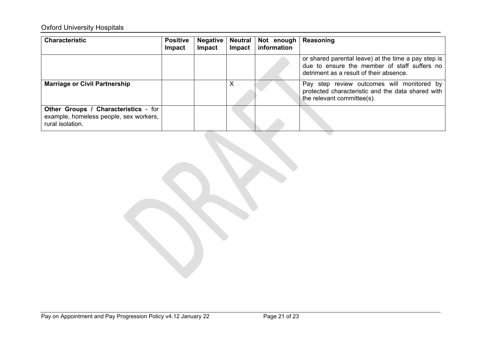# **Oxford University Hospitals**

| <b>Characteristic</b>                                                                                     | <b>Positive</b><br>Impact | <b>Negative</b><br>Impact | <b>Neutral</b><br><b>Impact</b> | Not enough<br>information | Reasoning                                                                                                                                      |
|-----------------------------------------------------------------------------------------------------------|---------------------------|---------------------------|---------------------------------|---------------------------|------------------------------------------------------------------------------------------------------------------------------------------------|
|                                                                                                           |                           |                           |                                 |                           | or shared parental leave) at the time a pay step is<br>due to ensure the member of staff suffers no<br>detriment as a result of their absence. |
| <b>Marriage or Civil Partnership</b>                                                                      |                           |                           | Х                               |                           | Pay step review outcomes will monitored by<br>protected characteristic and the data shared with<br>the relevant committee(s).                  |
| <b>Other Groups / Characteristics - for</b><br>example, homeless people, sex workers,<br>rural isolation. |                           |                           |                                 |                           |                                                                                                                                                |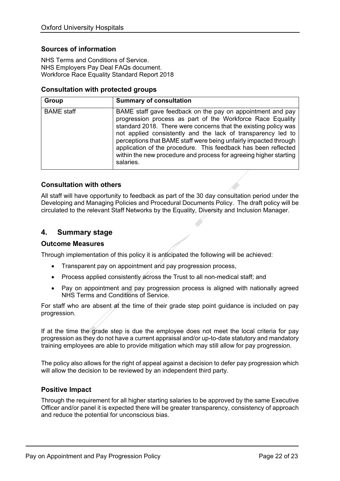#### **Sources of information**

NHS Terms and Conditions of Service. NHS Employers Pay Deal FAQs document. Workforce Race Equality Standard Report 2018

#### **Consultation with protected groups**

| Group             | <b>Summary of consultation</b>                                                                                                                                                                                                                                                                                                                                                                                                                                                      |
|-------------------|-------------------------------------------------------------------------------------------------------------------------------------------------------------------------------------------------------------------------------------------------------------------------------------------------------------------------------------------------------------------------------------------------------------------------------------------------------------------------------------|
| <b>BAME</b> staff | BAME staff gave feedback on the pay on appointment and pay<br>progression process as part of the Workforce Race Equality<br>standard 2018. There were concerns that the existing policy was<br>not applied consistently and the lack of transparency led to<br>perceptions that BAME staff were being unfairly impacted through<br>application of the procedure. This feedback has been reflected<br>within the new procedure and process for agreeing higher starting<br>salaries. |

#### **Consultation with others**

All staff will have opportunity to feedback as part of the 30 day consultation period under the Developing and Managing Policies and Procedural Documents Policy. The draft policy will be circulated to the relevant Staff Networks by the Equality, Diversity and Inclusion Manager.

#### **4. Summary stage**

#### **Outcome Measures**

Through implementation of this policy it is anticipated the following will be achieved:

- Transparent pay on appointment and pay progression process,
- Process applied consistently across the Trust to all non-medical staff; and
- Pay on appointment and pay progression process is aligned with nationally agreed NHS Terms and Conditions of Service.

For staff who are absent at the time of their grade step point guidance is included on pay progression.

If at the time the grade step is due the employee does not meet the local criteria for pay progression as they do not have a current appraisal and/or up-to-date statutory and mandatory training employees are able to provide mitigation which may still allow for pay progression.

The policy also allows for the right of appeal against a decision to defer pay progression which will allow the decision to be reviewed by an independent third party.

#### **Positive Impact**

Through the requirement for all higher starting salaries to be approved by the same Executive Officer and/or panel it is expected there will be greater transparency, consistency of approach and reduce the potential for unconscious bias.